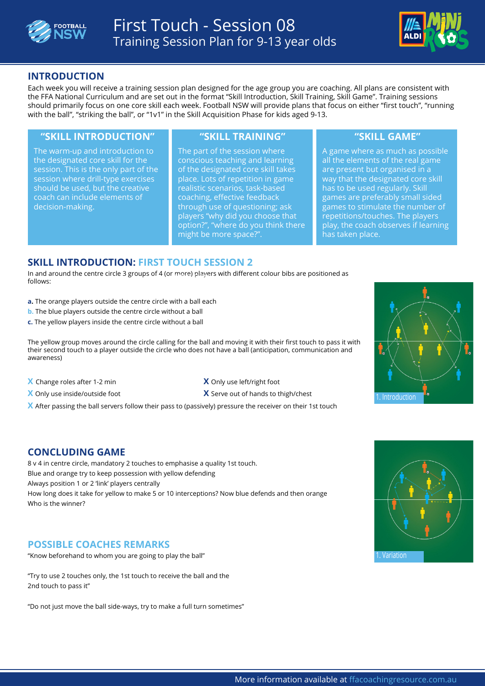



# **INTRODUCTION**

Each week you will receive a training session plan designed for the age group you are coaching. All plans are consistent with the FFA National Curriculum and are set out in the format "Skill Introduction, Skill Training, Skill Game". Training sessions should primarily focus on one core skill each week. Football NSW will provide plans that focus on either "first touch", "running with the ball", "striking the ball", or "1v1" in the Skill Acquisition Phase for kids aged 9-13.

#### **"SKILL INTRODUCTION" "SKILL TRAINING" "SKILL GAME"**

The warm-up and introduction to the designated core skill for the session. This is the only part of the session where drill-type exercises should be used, but the creative coach can include elements of decision-making.

The part of the session where conscious teaching and learning of the designated core skill takes place. Lots of repetition in game realistic scenarios, task-based coaching, effective feedback through use of questioning; ask players "why did you choose that option?", "where do you think there might be more space?".

A game where as much as possible all the elements of the real game are present but organised in a way that the designated core skill has to be used regularly. Skill games are preferably small sided games to stimulate the number of repetitions/touches. The players play, the coach observes if learning has taken place.

# **SKILL INTRODUCTION: FIRST TOUCH SESSION 2**

In and around the centre circle 3 groups of 4 ([or more\) players](http://www.ffacoachingresource.com.au/the-building-blocks/the-skill-acquisition-phase/session-listing/1-v-1-session-1/?eid=2309) with different colour bibs are positioned as follows:

- **a.** The orange players outside the centre circle with a ball each
- **b.** The blue players outside the centre circle without a ball
- **c.** The yellow players inside the centre circle without a ball

The yellow group moves around the circle calling for the ball and moving it with their first touch to pass it with their second touch to a player outside the circle who does not have a ball (anticipation, communication and awareness)

- **X** Change roles after 1-2 min **X** Only use left/right foot
- **X** Only use inside/outside foot **X** Serve out of hands to thigh/chest
- **X** After passing the ball servers follow their pass to (passively) pressure the receiver on their 1st touch

# **CONCLUDING GAME**

8 v 4 in centre circle, mandatory 2 touches to emphasise a quality 1st touch. Blue and orange try to keep possession with yellow defending Always position 1 or 2 'link' players centrally How long does it take for yellow to make 5 or 10 interceptions? Now blue defends and then orange Who is the winner?

#### **POSSIBLE COACHES REMARKS**

"Know beforehand to whom you are going to play the ball"

"Try to use 2 touches only, the 1st touch to receive the ball and the 2nd touch to pass it"

"Do not just move the ball side-ways, try to make a full turn sometimes"